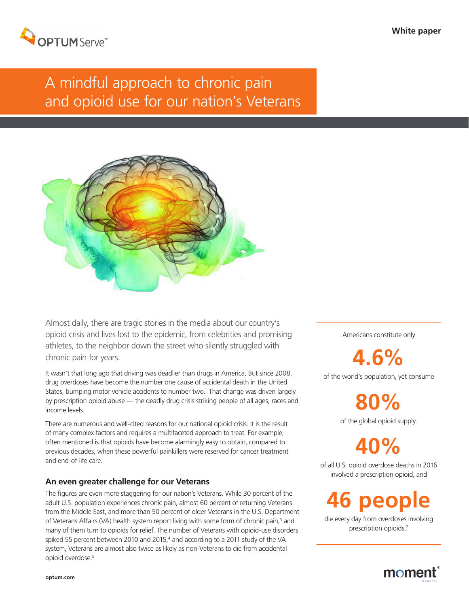

# A mindful approach to chronic pain and opioid use for our nation's Veterans



Almost daily, there are tragic stories in the media about our country's opioid crisis and lives lost to the epidemic, from celebrities and promising athletes, to the neighbor down the street who silently struggled with chronic pain for years.

It wasn't that long ago that driving was deadlier than drugs in America. But since 2008, drug overdoses have become the number one cause of accidental death in the United States, bumping motor vehicle accidents to number two.<sup>1</sup> That change was driven largely by prescription opioid abuse — the deadly drug crisis striking people of all ages, races and income levels.

There are numerous and well-cited reasons for our national opioid crisis. It is the result of many complex factors and requires a multifaceted approach to treat. For example, often mentioned is that opioids have become alarmingly easy to obtain, compared to previous decades, when these powerful painkillers were reserved for cancer treatment and end-of-life care.

# **An even greater challenge for our Veterans**

The figures are even more staggering for our nation's Veterans. While 30 percent of the adult U.S. population experiences chronic pain, almost 60 percent of returning Veterans from the Middle East, and more than 50 percent of older Veterans in the U.S. Department of Veterans Affairs (VA) health system report living with some form of chronic pain,<sup>3</sup> and many of them turn to opioids for relief. The number of Veterans with opioid-use disorders spiked 55 percent between 2010 and 2015,<sup>4</sup> and according to a 2011 study of the VA system, Veterans are almost also twice as likely as non-Veterans to die from accidental opioid overdose.5

Americans constitute only

**4.6%**

of the world's population, yet consume

**80%**

of the global opioid supply.

**40%**

of all U.S. opioid overdose deaths in 2016 involved a prescription opioid, and

# **46 people**

die every day from overdoses involving prescription opioids.<sup>2</sup>

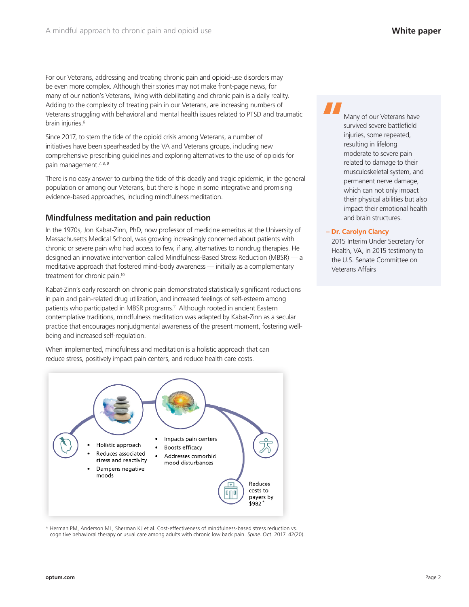For our Veterans, addressing and treating chronic pain and opioid-use disorders may be even more complex. Although their stories may not make front-page news, for many of our nation's Veterans, living with debilitating and chronic pain is a daily reality. Adding to the complexity of treating pain in our Veterans, are increasing numbers of Veterans struggling with behavioral and mental health issues related to PTSD and traumatic brain injuries.<sup>6</sup>

Since 2017, to stem the tide of the opioid crisis among Veterans, a number of initiatives have been spearheaded by the VA and Veterans groups, including new comprehensive prescribing guidelines and exploring alternatives to the use of opioids for pain management.<sup>7, 8, 9</sup>

There is no easy answer to curbing the tide of this deadly and tragic epidemic, in the general population or among our Veterans, but there is hope in some integrative and promising evidence-based approaches, including mindfulness meditation.

# **Mindfulness meditation and pain reduction**

In the 1970s, Jon Kabat-Zinn, PhD, now professor of medicine emeritus at the University of Massachusetts Medical School, was growing increasingly concerned about patients with chronic or severe pain who had access to few, if any, alternatives to nondrug therapies. He designed an innovative intervention called Mindfulness-Based Stress Reduction (MBSR) — a meditative approach that fostered mind-body awareness — initially as a complementary treatment for chronic pain.10

Kabat-Zinn's early research on chronic pain demonstrated statistically significant reductions in pain and pain-related drug utilization, and increased feelings of self-esteem among patients who participated in MBSR programs.<sup>11</sup> Although rooted in ancient Eastern contemplative traditions, mindfulness meditation was adapted by Kabat-Zinn as a secular practice that encourages nonjudgmental awareness of the present moment, fostering wellbeing and increased self-regulation.

When implemented, mindfulness and meditation is a holistic approach that can reduce stress, positively impact pain centers, and reduce health care costs.



\* Herman PM, Anderson ML, Sherman KJ et al. Cost-effectiveness of mindfulness-based stress reduction vs. cognitive behavioral therapy or usual care among adults with chronic low back pain. *Spine*. Oct. 2017. 42(20).

Many of our Veterans have survived severe battlefield injuries, some repeated, resulting in lifelong moderate to severe pain related to damage to their musculoskeletal system, and permanent nerve damage, which can not only impact their physical abilities but also impact their emotional health and brain structures.

#### **– Dr. Carolyn Clancy**

 2015 Interim Under Secretary for Health, VA, in 2015 testimony to the U.S. Senate Committee on Veterans Affairs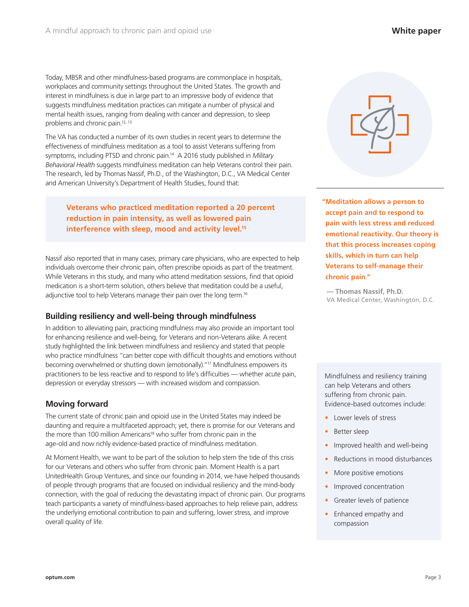Today, MBSR and other mindfulness-based programs are commonplace in hospitals, workplaces and community settings throughout the United States. The growth and interest in mindfulness is due in large part to an impressive body of evidence that suggests mindfulness meditation practices can mitigate a number of physical and mental health issues, ranging from dealing with cancer and depression, to sleep problems and chronic pain.12, 13

The VA has conducted a number of its own studies in recent years to determine the effectiveness of mindfulness meditation as a tool to assist Veterans suffering from symptoms, including PTSD and chronic pain.14 A 2016 study published in *Military Behavioral Health* suggests mindfulness meditation can help Veterans control their pain. The research, led by Thomas Nassif, Ph.D., of the Washington, D.C., VA Medical Center and American University's Department of Health Studies, found that:

**Veterans who practiced meditation reported a 20 percent reduction in pain intensity, as well as lowered pain interference with sleep, mood and activity level.15**

Nassif also reported that in many cases, primary care physicians, who are expected to help individuals overcome their chronic pain, often prescribe opioids as part of the treatment. While Veterans in this study, and many who attend meditation sessions, find that opioid medication is a short-term solution, others believe that meditation could be a useful, adjunctive tool to help Veterans manage their pain over the long term.<sup>16</sup>

# **Building resiliency and well-being through mindfulness**

In addition to alleviating pain, practicing mindfulness may also provide an important tool for enhancing resilience and well-being, for Veterans and non-Veterans alike. A recent study highlighted the link between mindfulness and resiliency and stated that people who practice mindfulness "can better cope with difficult thoughts and emotions without becoming overwhelmed or shutting down (emotionally)."17 Mindfulness empowers its practitioners to be less reactive and to respond to life's difficulties — whether acute pain, depression or everyday stressors — with increased wisdom and compassion.

# **Moving forward**

The current state of chronic pain and opioid use in the United States may indeed be daunting and require a multifaceted approach; yet, there is promise for our Veterans and the more than 100 million Americans<sup>18</sup> who suffer from chronic pain in the age-old and now richly evidence-based practice of mindfulness meditation.

At Moment Health, we want to be part of the solution to help stem the tide of this crisis for our Veterans and others who suffer from chronic pain. Moment Health is a part UnitedHealth Group Ventures, and since our founding in 2014, we have helped thousands of people through programs that are focused on individual resiliency and the mind-body connection, with the goal of reducing the devastating impact of chronic pain. Our programs teach participants a variety of mindfulness-based approaches to help relieve pain, address the underlying emotional contribution to pain and suffering, lower stress, and improve overall quality of life.

**"Meditation allows a person to accept pain and to respond to pain with less stress and reduced emotional reactivity. Our theory is that this process increases coping skills, which in turn can help Veterans to self-manage their chronic pain**.**"**

**— Thomas Nassif, Ph.D.** VA Medical Center, Washington, D.C.

Mindfulness and resiliency training can help Veterans and others suffering from chronic pain. Evidence-based outcomes include:

- Lower levels of stress
- Better sleep
- Improved health and well-being
- Reductions in mood disturbances
- More positive emotions
- Improved concentration
- Greater levels of patience
- Enhanced empathy and compassion